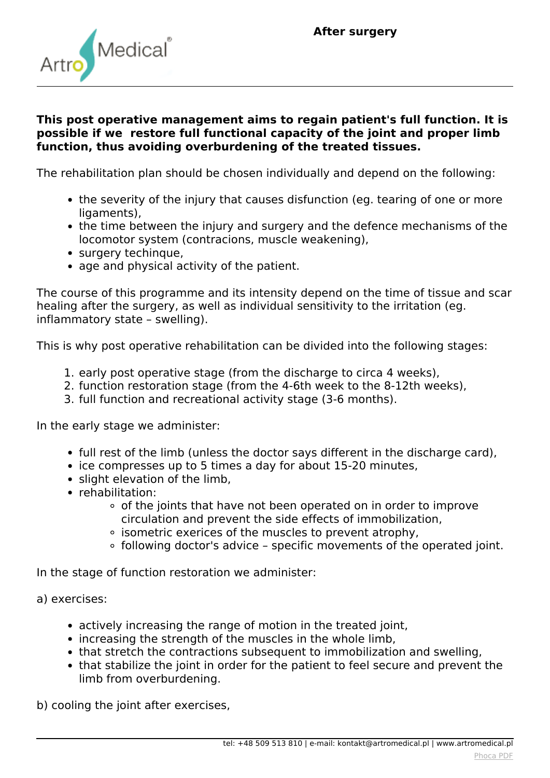

## **This post operative management aims to regain patient's full function. It is possible if we restore full functional capacity of the joint and proper limb function, thus avoiding overburdening of the treated tissues.**

*The rehabilitation plan should be chosen individually and depend on the following:*

- *the severity of the injury that causes disfunction (eg. tearing of one or more ligaments),*
- *the time between the injury and surgery and the defence mechanisms of the locomotor system (contracions, muscle weakening),*
- *surgery techinque,*
- *age and physical activity of the patient.*

*The course of this programme and its intensity depend on the time of tissue and scar healing after the surgery, as well as individual sensitivity to the irritation (eg. inflammatory state – swelling).*

*This is why post operative rehabilitation can be divided into the following stages:*

- *1. early post operative stage (from the discharge to circa 4 weeks),*
- *2. function restoration stage (from the 4-6th week to the 8-12th weeks),*
- *3. full function and recreational activity stage (3-6 months).*

*In the early stage we administer:*

- *full rest of the limb (unless the doctor says different in the discharge card),*
- *ice compresses up to 5 times a day for about 15-20 minutes,*
- *slight elevation of the limb,*
- *rehabilitation:*
	- *of the joints that have not been operated on in order to improve circulation and prevent the side effects of immobilization,*
	- *isometric exerices of the muscles to prevent atrophy,*
	- *following doctor's advice specific movements of the operated joint.*

*In the stage of function restoration we administer:*

- *a) exercises:*
	- *actively increasing the range of motion in the treated joint,*
	- *increasing the strength of the muscles in the whole limb,*
	- *that stretch the contractions subsequent to immobilization and swelling,*
	- *that stabilize the joint in order for the patient to feel secure and prevent the limb from overburdening.*

*b) cooling the joint after exercises,*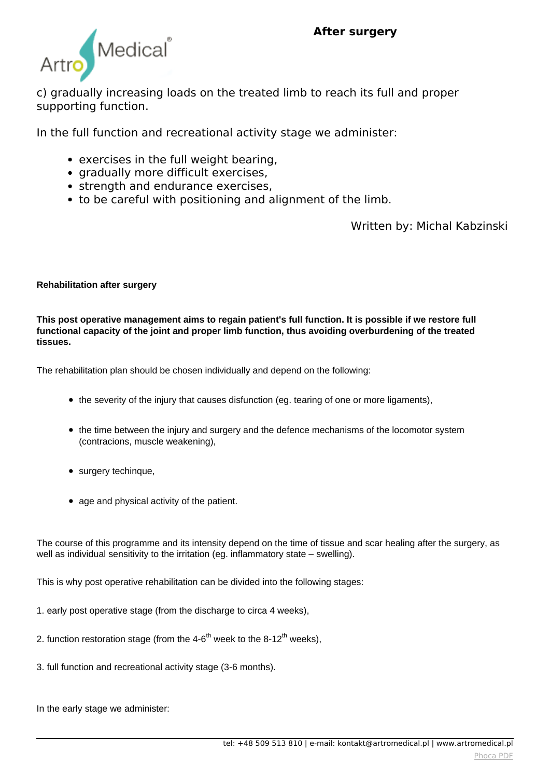

*c) gradually increasing loads on the treated limb to reach its full and proper supporting function.*

*In the full function and recreational activity stage we administer:*

- *exercises in the full weight bearing,*
- *gradually more difficult exercises,*
- *strength and endurance exercises,*
- *to be careful with positioning and alignment of the limb.*

*Written by: Michal Kabzinski*

## **Rehabilitation after surgery**

**This post operative management aims to regain patient's full function. It is possible if we restore full functional capacity of the joint and proper limb function, thus avoiding overburdening of the treated tissues.** 

The rehabilitation plan should be chosen individually and depend on the following:

- the severity of the injury that causes disfunction (eq. tearing of one or more ligaments).
- the time between the injury and surgery and the defence mechanisms of the locomotor system (contracions, muscle weakening),
- surgery techinque,
- age and physical activity of the patient.

The course of this programme and its intensity depend on the time of tissue and scar healing after the surgery, as well as individual sensitivity to the irritation (eg. inflammatory state – swelling).

This is why post operative rehabilitation can be divided into the following stages:

- 1. early post operative stage (from the discharge to circa 4 weeks),
- 2. function restoration stage (from the  $4-6<sup>th</sup>$  week to the  $8-12<sup>th</sup>$  weeks),
- 3. full function and recreational activity stage (3-6 months).

In the early stage we administer: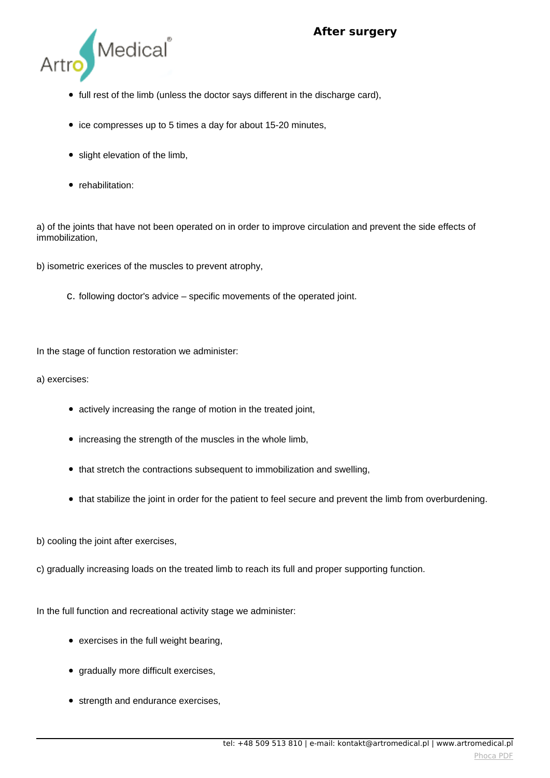

- full rest of the limb (unless the doctor says different in the discharge card),
- ice compresses up to 5 times a day for about 15-20 minutes,
- slight elevation of the limb,
- rehabilitation:

a) of the joints that have not been operated on in order to improve circulation and prevent the side effects of immobilization,

b) isometric exerices of the muscles to prevent atrophy,

c. following doctor's advice – specific movements of the operated joint.

In the stage of function restoration we administer:

a) exercises:

- actively increasing the range of motion in the treated joint,
- increasing the strength of the muscles in the whole limb,
- that stretch the contractions subsequent to immobilization and swelling,
- that stabilize the joint in order for the patient to feel secure and prevent the limb from overburdening.

b) cooling the joint after exercises,

c) gradually increasing loads on the treated limb to reach its full and proper supporting function.

In the full function and recreational activity stage we administer:

- exercises in the full weight bearing,
- gradually more difficult exercises,
- strength and endurance exercises,